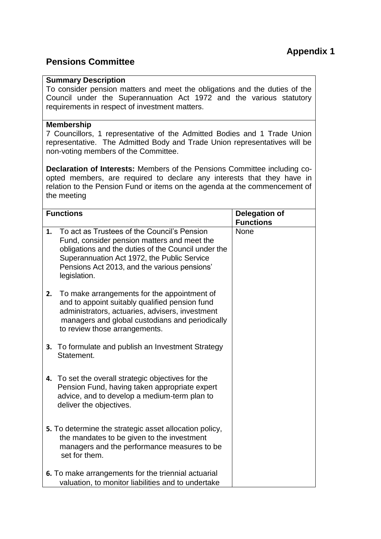## **Pensions Committee**

## **Summary Description**

To consider pension matters and meet the obligations and the duties of the Council under the Superannuation Act 1972 and the various statutory requirements in respect of investment matters.

## **Membership**

7 Councillors, 1 representative of the Admitted Bodies and 1 Trade Union representative. The Admitted Body and Trade Union representatives will be non-voting members of the Committee.

**Declaration of Interests:** Members of the Pensions Committee including coopted members, are required to declare any interests that they have in relation to the Pension Fund or items on the agenda at the commencement of the meeting

| <b>Functions</b>                                                                                          |                                                                                                                                                                                                                                                                  | <b>Delegation of</b><br><b>Functions</b> |
|-----------------------------------------------------------------------------------------------------------|------------------------------------------------------------------------------------------------------------------------------------------------------------------------------------------------------------------------------------------------------------------|------------------------------------------|
| 1.                                                                                                        | To act as Trustees of the Council's Pension<br>Fund, consider pension matters and meet the<br>obligations and the duties of the Council under the<br>Superannuation Act 1972, the Public Service<br>Pensions Act 2013, and the various pensions'<br>legislation. | None                                     |
| 2.                                                                                                        | To make arrangements for the appointment of<br>and to appoint suitably qualified pension fund<br>administrators, actuaries, advisers, investment<br>managers and global custodians and periodically<br>to review those arrangements.                             |                                          |
| 3.                                                                                                        | To formulate and publish an Investment Strategy<br>Statement.                                                                                                                                                                                                    |                                          |
|                                                                                                           | 4. To set the overall strategic objectives for the<br>Pension Fund, having taken appropriate expert<br>advice, and to develop a medium-term plan to<br>deliver the objectives.                                                                                   |                                          |
|                                                                                                           | 5. To determine the strategic asset allocation policy,<br>the mandates to be given to the investment<br>managers and the performance measures to be<br>set for them.                                                                                             |                                          |
| 6. To make arrangements for the triennial actuarial<br>valuation, to monitor liabilities and to undertake |                                                                                                                                                                                                                                                                  |                                          |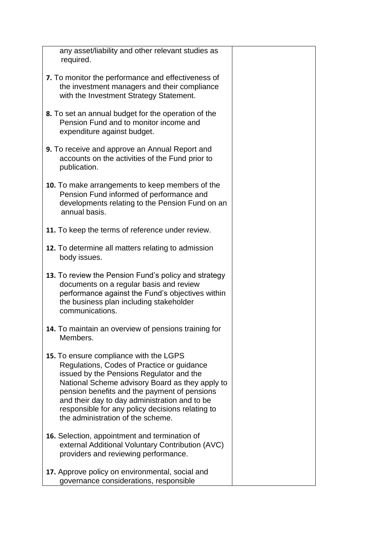| any asset/liability and other relevant studies as<br>required.                                                                                                                                                                                                                                                                                                                |  |  |  |
|-------------------------------------------------------------------------------------------------------------------------------------------------------------------------------------------------------------------------------------------------------------------------------------------------------------------------------------------------------------------------------|--|--|--|
| 7. To monitor the performance and effectiveness of<br>the investment managers and their compliance<br>with the Investment Strategy Statement.                                                                                                                                                                                                                                 |  |  |  |
| 8. To set an annual budget for the operation of the<br>Pension Fund and to monitor income and<br>expenditure against budget.                                                                                                                                                                                                                                                  |  |  |  |
| 9. To receive and approve an Annual Report and<br>accounts on the activities of the Fund prior to<br>publication.                                                                                                                                                                                                                                                             |  |  |  |
| 10. To make arrangements to keep members of the<br>Pension Fund informed of performance and<br>developments relating to the Pension Fund on an<br>annual basis.                                                                                                                                                                                                               |  |  |  |
| 11. To keep the terms of reference under review.                                                                                                                                                                                                                                                                                                                              |  |  |  |
| 12. To determine all matters relating to admission<br>body issues.                                                                                                                                                                                                                                                                                                            |  |  |  |
| 13. To review the Pension Fund's policy and strategy<br>documents on a regular basis and review<br>performance against the Fund's objectives within<br>the business plan including stakeholder<br>communications.                                                                                                                                                             |  |  |  |
| 14. To maintain an overview of pensions training for<br>Members.                                                                                                                                                                                                                                                                                                              |  |  |  |
| 15. To ensure compliance with the LGPS<br>Regulations, Codes of Practice or guidance<br>issued by the Pensions Regulator and the<br>National Scheme advisory Board as they apply to<br>pension benefits and the payment of pensions<br>and their day to day administration and to be<br>responsible for any policy decisions relating to<br>the administration of the scheme. |  |  |  |
| 16. Selection, appointment and termination of<br>external Additional Voluntary Contribution (AVC)<br>providers and reviewing performance.                                                                                                                                                                                                                                     |  |  |  |
| 17. Approve policy on environmental, social and<br>governance considerations, responsible                                                                                                                                                                                                                                                                                     |  |  |  |